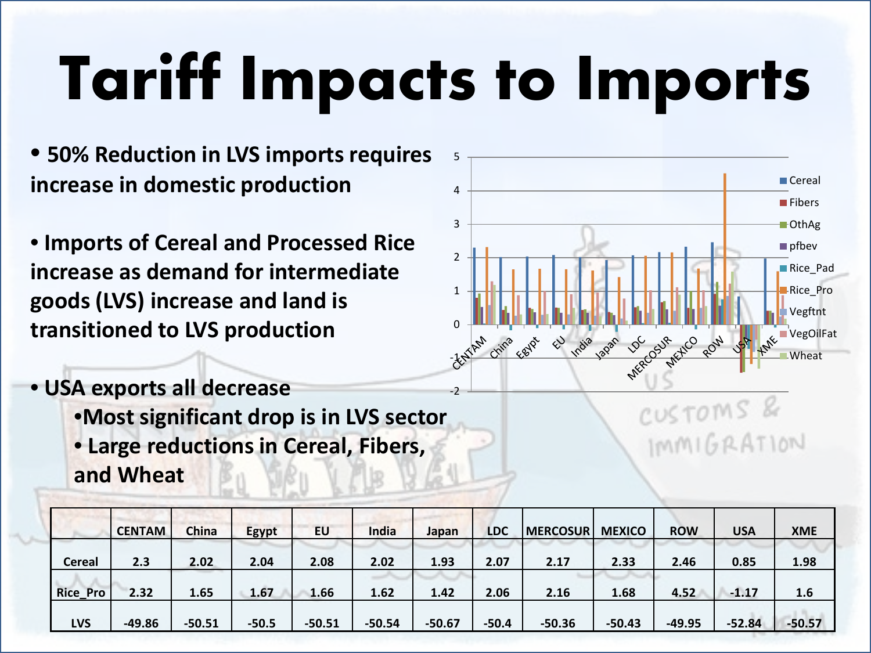# **Tariff Impacts to Imports**

• **50% Reduction in LVS imports requires increase in domestic production**

• **Imports of Cereal and Processed Rice increase as demand for intermediate goods (LVS) increase and land is transitioned to LVS production**

• **USA exports all decrease** •**Most significant drop is in LVS sector** • **Large reductions in Cereal, Fibers, and Wheat**





customs &

 $IMMIGRATION$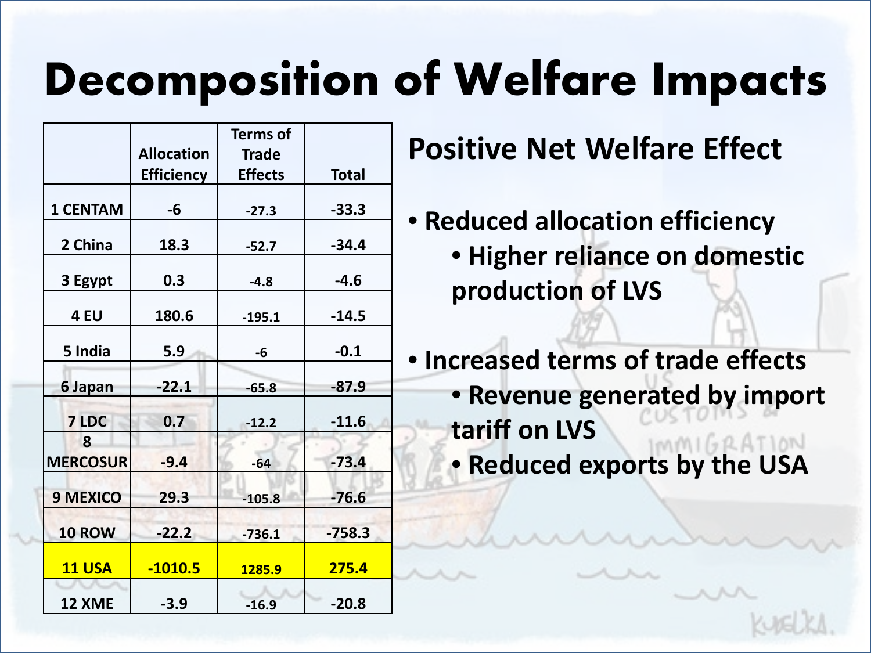### **Decomposition of Welfare Impacts**

|                 |                   | <b>Terms of</b> |              |                       |
|-----------------|-------------------|-----------------|--------------|-----------------------|
|                 | <b>Allocation</b> | <b>Trade</b>    |              | <b>Positive Net V</b> |
|                 | <b>Efficiency</b> | <b>Effects</b>  | <b>Total</b> |                       |
| <b>1 CENTAM</b> | -6                | $-27.3$         | $-33.3$      | • Reduced alloca      |
| 2 China         | 18.3              | $-52.7$         | $-34.4$      | • Higher reli         |
| 3 Egypt         | 0.3               | $-4.8$          | $-4.6$       | production            |
| 4 EU            | 180.6             | $-195.1$        | $-14.5$      |                       |
| 5 India         | 5.9               | $-6$            | $-0.1$       | · Increased tern      |
| 6 Japan         | $-22.1$           | $-65.8$         | $-87.9$      | • Revenue go          |
| 7 LDC<br>8      | 0.7               | $-12.2$         | $-11.6$      | tariff on LVS         |
| <b>MERCOSUR</b> | $-9.4$            | $-64$           | $-73.4$      | · Reduced ex          |
| <b>9 MEXICO</b> | 29.3              | $-105.8$        | $-76.6$      |                       |
| <b>10 ROW</b>   | $-22.2$           | $-736.1$        | $-758.3$     |                       |
| <b>11 USA</b>   | $-1010.5$         | 1285.9          | 275.4        |                       |
| 12 XME          | $-3.9$            | $-16.9$         | $-20.8$      |                       |

#### **Positive Net Welfare Effect**

- **Reduced allocation efficiency** 
	- **Higher reliance on domestic production of LVS**
- **Increased terms of trade effects** • **Revenue generated by import tariff on LVS**
	- **Reduced exports by the USA**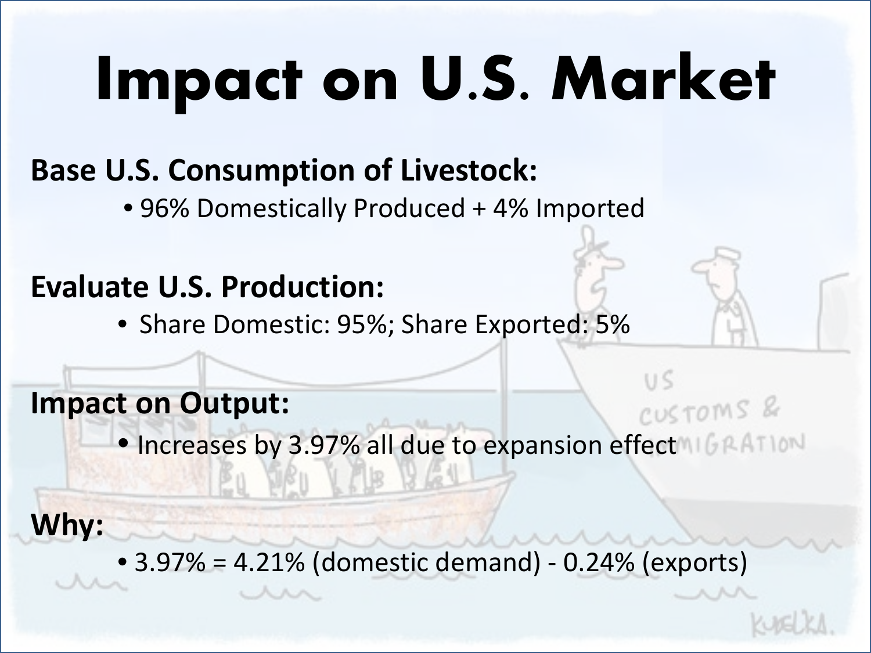# **Impact on U.S. Market**

#### **Base U.S. Consumption of Livestock:**

• 96% Domestically Produced + 4% Imported

#### **Evaluate U.S. Production:**

• Share Domestic: 95%; Share Exported: 5%

#### **Impact on Output:**

**• Increases by 3.97% all due to expansion effect In PATION Price Course III And Annual Short Course III And Analysis Course 1:**<br>
2007 - Annual Short Course in Guide Analysis - Do North Course 1:<br>
2018 - Do North Course 1:<br>
2018 - Do North Course 1:<br>
2019 - Do North Course 1:<br>
201

CUSTOMS &

**Why:**

• 3.97% = 4.21% (domestic demand) - 0.24% (exports)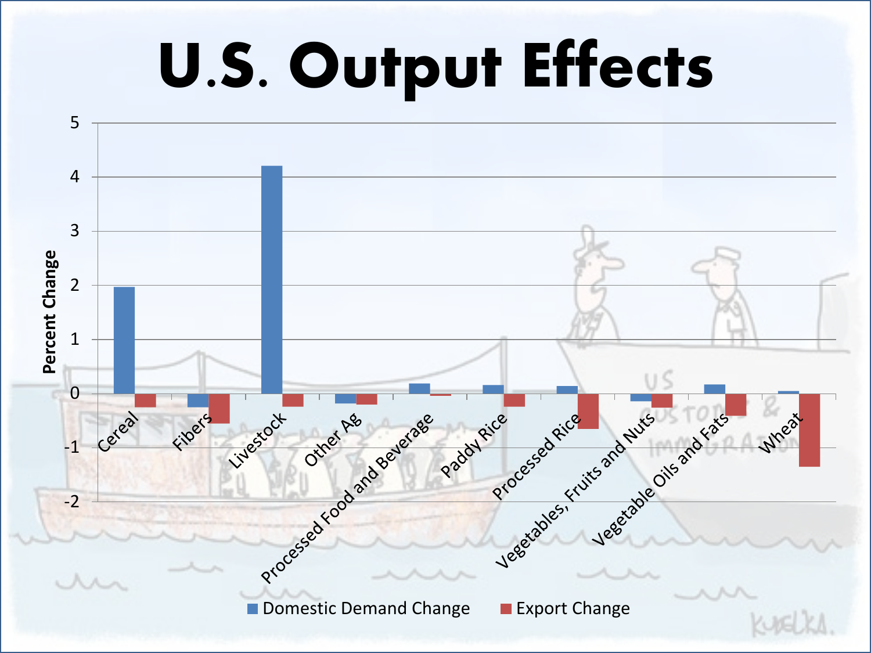# **U.S. Output Effects**

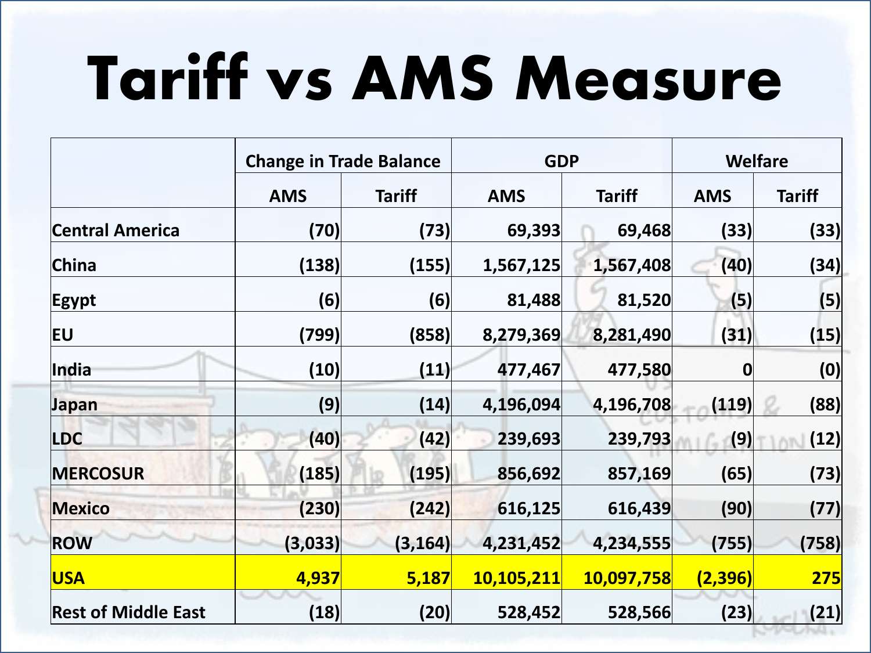## **Tariff vs AMS Measure**

|                            |            | <b>Change in Trade Balance</b> | <b>GDP</b> |               | <b>Welfare</b> |               |
|----------------------------|------------|--------------------------------|------------|---------------|----------------|---------------|
|                            | <b>AMS</b> | <b>Tariff</b>                  | <b>AMS</b> | <b>Tariff</b> | <b>AMS</b>     | <b>Tariff</b> |
| <b>Central America</b>     | (70)       | (73)                           | 69,393     | 69,468        | (33)           | (33)          |
| China                      | (138)      | (155)                          | 1,567,125  | 1,567,408     | (40)           | (34)          |
| <b>Egypt</b>               | (6)        | (6)                            | 81,488     | 81,520        | (5)            | (5)           |
| <b>EU</b>                  | (799)      | (858)                          | 8,279,369  | 8,281,490     | (31)           | (15)          |
| India                      | (10)       | (11)                           | 477,467    | 477,580       | 0              | (0)           |
| Japan                      | (9)        | (14)                           | 4,196,094  | 4,196,708     | (119)          | (88)          |
| <b>LDC</b>                 | (40)       | (42)                           | 239,693    | 239,793       | (9)            | (12)          |
| <b>MERCOSUR</b>            | (185)      | (195)                          | 856,692    | 857,169       | (65)           | (73)          |
| <b>Mexico</b>              | (230)      | (242)                          | 616,125    | 616,439       | (90)           | (77)          |
| <b>ROW</b>                 | (3,033)    | (3, 164)                       | 4,231,452  | 4,234,555     | (755)          | (758)         |
| <b>USA</b>                 | 4,937      | 5,187                          | 10,105,211 | 10,097,758    | (2,396)        | <b>275</b>    |
| <b>Rest of Middle East</b> | (18)       | (20)                           | 528,452    | 528,566       | (23)           | (21)          |